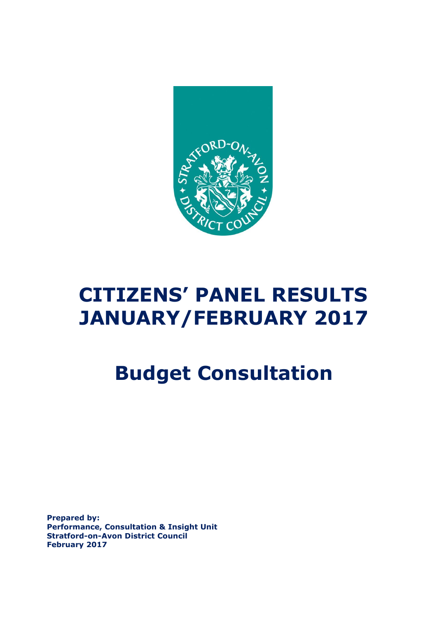

# **CITIZENS' PANEL RESULTS JANUARY/FEBRUARY 2017**

# **Budget Consultation**

**Prepared by: Performance, Consultation & Insight Unit Stratford-on-Avon District Council February 2017**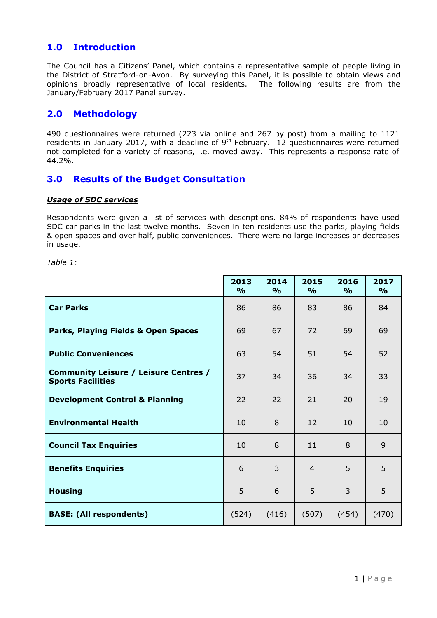# **1.0 Introduction**

The Council has a Citizens' Panel, which contains a representative sample of people living in the District of Stratford-on-Avon. By surveying this Panel, it is possible to obtain views and opinions broadly representative of local residents. The following results are from the January/February 2017 Panel survey.

# **2.0 Methodology**

490 questionnaires were returned (223 via online and 267 by post) from a mailing to 1121 residents in January 2017, with a deadline of  $9<sup>th</sup>$  February. 12 questionnaires were returned not completed for a variety of reasons, i.e. moved away. This represents a response rate of 44.2%.

# **3.0 Results of the Budget Consultation**

#### *Usage of SDC services*

Respondents were given a list of services with descriptions. 84% of respondents have used SDC car parks in the last twelve months. Seven in ten residents use the parks, playing fields & open spaces and over half, public conveniences. There were no large increases or decreases in usage.

*Table 1:* 

|                                                                   | 2013<br>$\frac{9}{6}$ | 2014<br>$\frac{9}{6}$ | 2015<br>$\frac{9}{0}$ | 2016<br>$\frac{9}{6}$ | 2017<br>$\frac{9}{6}$ |
|-------------------------------------------------------------------|-----------------------|-----------------------|-----------------------|-----------------------|-----------------------|
| <b>Car Parks</b>                                                  | 86                    | 86                    | 83                    | 86                    | 84                    |
| Parks, Playing Fields & Open Spaces                               | 69                    | 67                    | 72                    | 69                    | 69                    |
| <b>Public Conveniences</b>                                        | 63                    | 54                    | 51                    | 54                    | 52                    |
| Community Leisure / Leisure Centres /<br><b>Sports Facilities</b> | 37                    | 34                    | 36                    | 34                    | 33                    |
| <b>Development Control &amp; Planning</b>                         | 22                    | 22                    | 21                    | 20                    | 19                    |
| <b>Environmental Health</b>                                       | 10                    | 8                     | 12                    | 10                    | 10                    |
| <b>Council Tax Enquiries</b>                                      | 10                    | 8                     | 11                    | 8                     | 9                     |
| <b>Benefits Enquiries</b>                                         | 6                     | 3                     | 4                     | 5                     | 5                     |
| <b>Housing</b>                                                    | 5                     | 6                     | 5                     | 3                     | 5                     |
| <b>BASE: (All respondents)</b>                                    | (524)                 | (416)                 | (507)                 | (454)                 | (470)                 |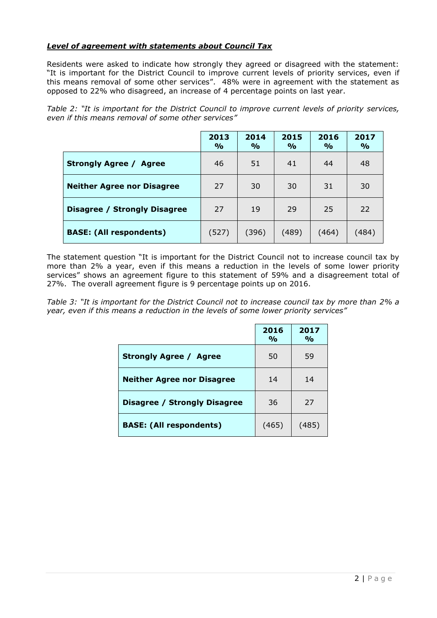# *Level of agreement with statements about Council Tax*

Residents were asked to indicate how strongly they agreed or disagreed with the statement: "It is important for the District Council to improve current levels of priority services, even if this means removal of some other services". 48% were in agreement with the statement as opposed to 22% who disagreed, an increase of 4 percentage points on last year.

|                                         | 2013<br>$\frac{6}{6}$ | 2014<br>$\frac{O}{O}$ | 2015<br>$\frac{9}{6}$ | 2016<br>$\frac{0}{0}$ | 2017<br>$\frac{6}{6}$ |
|-----------------------------------------|-----------------------|-----------------------|-----------------------|-----------------------|-----------------------|
| <b>Strongly Agree /</b><br><b>Agree</b> | 46                    | 51                    | 41                    | 44                    | 48                    |
| <b>Neither Agree nor Disagree</b>       | 27                    | 30                    | 30                    | 31                    | 30                    |
| Disagree / Strongly Disagree            | 27                    | 19                    | 29                    | 25                    | 22                    |
| <b>BASE: (All respondents)</b>          | (527)                 | (396)                 | (489)                 | (464)                 | (484)                 |

*Table 2: "It is important for the District Council to improve current levels of priority services, even if this means removal of some other services"*

The statement question "It is important for the District Council not to increase council tax by more than 2% a year, even if this means a reduction in the levels of some lower priority services" shows an agreement figure to this statement of 59% and a disagreement total of 27%. The overall agreement figure is 9 percentage points up on 2016.

*Table 3: "It is important for the District Council not to increase council tax by more than 2% a year, even if this means a reduction in the levels of some lower priority services"*

|                                   | 2016<br>$\frac{O}{O}$ | 2017<br>$\frac{0}{0}$ |
|-----------------------------------|-----------------------|-----------------------|
| <b>Strongly Agree / Agree</b>     | 50                    | 59                    |
| <b>Neither Agree nor Disagree</b> | 14                    | 14                    |
| Disagree / Strongly Disagree      | 36                    | 27                    |
| <b>BASE: (All respondents)</b>    | (465)                 | (485)                 |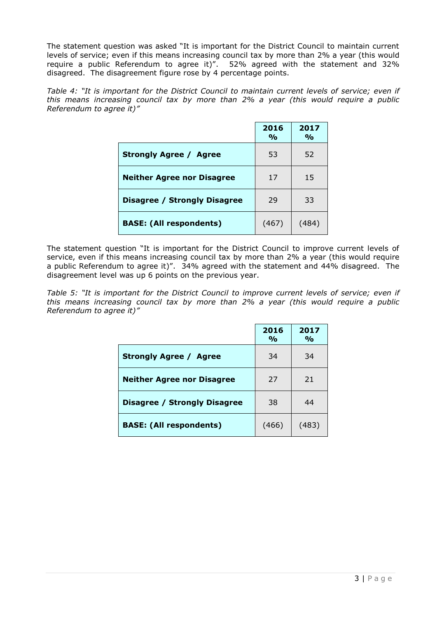The statement question was asked "It is important for the District Council to maintain current levels of service; even if this means increasing council tax by more than 2% a year (this would require a public Referendum to agree it)". 52% agreed with the statement and 32% disagreed. The disagreement figure rose by 4 percentage points.

*Table 4: "It is important for the District Council to maintain current levels of service; even if this means increasing council tax by more than 2% a year (this would require a public Referendum to agree it)"*

|                                     | 2016<br>$\frac{O}{O}$ | 2017<br>$\frac{0}{0}$ |
|-------------------------------------|-----------------------|-----------------------|
| <b>Strongly Agree / Agree</b>       | 53                    | 52                    |
| <b>Neither Agree nor Disagree</b>   | 17                    | 15                    |
| <b>Disagree / Strongly Disagree</b> | 29                    | 33                    |
| <b>BASE: (All respondents)</b>      | (467)                 | (484)                 |

The statement question "It is important for the District Council to improve current levels of service, even if this means increasing council tax by more than 2% a year (this would require a public Referendum to agree it)". 34% agreed with the statement and 44% disagreed. The disagreement level was up 6 points on the previous year.

*Table 5: "It is important for the District Council to improve current levels of service; even if this means increasing council tax by more than 2% a year (this would require a public Referendum to agree it)"*

|                                     | 2016<br>$\frac{0}{0}$ | 2017<br>$\frac{1}{2}$ |
|-------------------------------------|-----------------------|-----------------------|
| <b>Strongly Agree / Agree</b>       | 34                    | 34                    |
| <b>Neither Agree nor Disagree</b>   | 27                    | 21                    |
| <b>Disagree / Strongly Disagree</b> | 38                    | 44                    |
| <b>BASE: (All respondents)</b>      | (466)                 | (483)                 |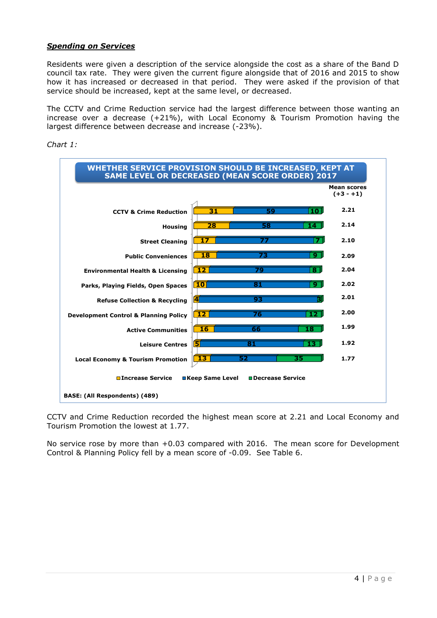# *Spending on Services*

Residents were given a description of the service alongside the cost as a share of the Band D council tax rate. They were given the current figure alongside that of 2016 and 2015 to show how it has increased or decreased in that period. They were asked if the provision of that service should be increased, kept at the same level, or decreased.

The CCTV and Crime Reduction service had the largest difference between those wanting an increase over a decrease (+21%), with Local Economy & Tourism Promotion having the largest difference between decrease and increase (-23%).



*Chart 1:* 

CCTV and Crime Reduction recorded the highest mean score at 2.21 and Local Economy and Tourism Promotion the lowest at 1.77.

No service rose by more than +0.03 compared with 2016. The mean score for Development Control & Planning Policy fell by a mean score of -0.09. See Table 6.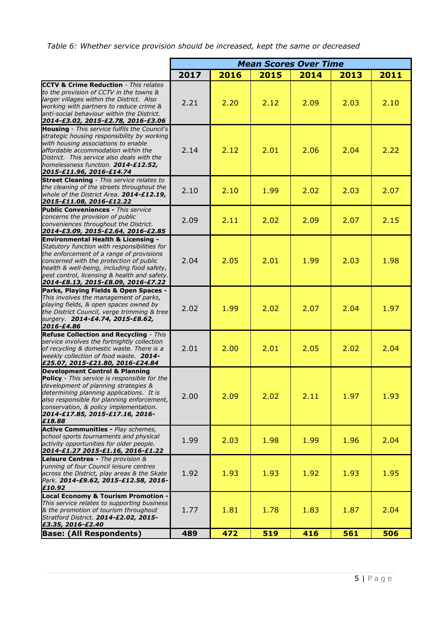*Table 6: Whether service provision should be increased, kept the same or decreased*

|                                                                                                                                                                                                                                                                                                                           | <b>Mean Scores Over Time</b> |      |      |      |      |      |
|---------------------------------------------------------------------------------------------------------------------------------------------------------------------------------------------------------------------------------------------------------------------------------------------------------------------------|------------------------------|------|------|------|------|------|
|                                                                                                                                                                                                                                                                                                                           | 2017                         | 2016 | 2015 | 2014 | 2013 | 2011 |
| <b>CCTV &amp; Crime Reduction</b> - This relates<br>to the provision of CCTV in the towns &<br>larger villages within the District. Also<br>working with partners to reduce crime &<br>anti-social behaviour within the District.<br>2014-£3.02, 2015-£2.78, 2016-£3.06                                                   | 2.21                         | 2.20 | 2.12 | 2.09 | 2.03 | 2.10 |
| <b>Housing</b> - This service fulfils the Council's<br>strategic housing responsibility by working<br>with housing associations to enable<br>affordable accommodation within the<br>District. This service also deals with the<br>homelessness function. 2014-£12.52,<br>2015-£11.96, 2016-£14.74                         | 2.14                         | 2.12 | 2.01 | 2.06 | 2.04 | 2.22 |
| <b>Street Cleaning</b> - This service relates to<br>the cleaning of the streets throughout the<br>whole of the District Area. 2014-£12.19,<br>2015-£11.08, 2016-£12.22                                                                                                                                                    | 2.10                         | 2.10 | 1.99 | 2.02 | 2.03 | 2.07 |
| <b>Public Conveniences - This service</b><br>concerns the provision of public<br>conveniences throughout the District.<br>2014-£3.09, 2015-£2.64, 2016-£2.85                                                                                                                                                              | 2.09                         | 2.11 | 2.02 | 2.09 | 2.07 | 2.15 |
| <b>Environmental Health &amp; Licensing -</b><br>Statutory function with responsibilities for<br>the enforcement of a range of provisions<br>concerned with the protection of public<br>health & well-being, including food safety,<br>pest control, licensing & health and safety.<br>2014-£8.13, 2015-£8.09, 2016-£7.22 | 2.04                         | 2.05 | 2.01 | 1.99 | 2.03 | 1.98 |
| Parks, Playing Fields & Open Spaces -<br>This involves the management of parks,<br>playing fields, & open spaces owned by<br>the District Council, verge trimming & tree<br>surgery. 2014-£4.74, 2015-£8.62,<br>2016-£4.86                                                                                                | 2.02                         | 1.99 | 2.02 | 2.07 | 2.04 | 1.97 |
| Refuse Collection and Recycling - This<br>service involves the fortnightly collection<br>of recycling & domestic waste. There is a<br>weekly collection of food waste. 2014-<br>£25.07, 2015-£21.80, 2016-£24.84                                                                                                          | 2.01                         | 2.00 | 2.01 | 2.05 | 2.02 | 2.04 |
| <b>Development Control &amp; Planning</b><br>Policy - This service is responsible for the<br>development of planning strategies &<br>determining planning applications. It is<br>also responsible for planning enforcement,<br>conservation, & policy implementation.<br>2014-£17.85, 2015-£17.16, 2016-<br>£18.88        | 2.00                         | 2.09 | 2.02 | 2.11 | 1.97 | 1.93 |
| <b>Active Communities - Play schemes,</b><br>school sports tournaments and physical<br>activity opportunities for older people.<br>2014-£1.27 2015-£1.16, 2016-£1.22                                                                                                                                                      | 1.99                         | 2.03 | 1.98 | 1.99 | 1.96 | 2.04 |
| Leisure Centres - The provision &<br>running of four Council leisure centres<br>across the District, play areas & the Skate<br>Park. 2014-£9.62, 2015-£12.58, 2016-<br>£10.92                                                                                                                                             | 1.92                         | 1.93 | 1.93 | 1.92 | 1.93 | 1.95 |
| <b>Local Economy &amp; Tourism Promotion -</b><br>This service relates to supporting business<br>& the promotion of tourism throughout<br>Stratford District. 2014-£2.02, 2015-<br>£3.35, 2016-£2.40                                                                                                                      | 1.77                         | 1.81 | 1.78 | 1.83 | 1.87 | 2.04 |
| <b>Base: (All Respondents)</b>                                                                                                                                                                                                                                                                                            | 489                          | 472  | 519  | 416  | 561  | 506  |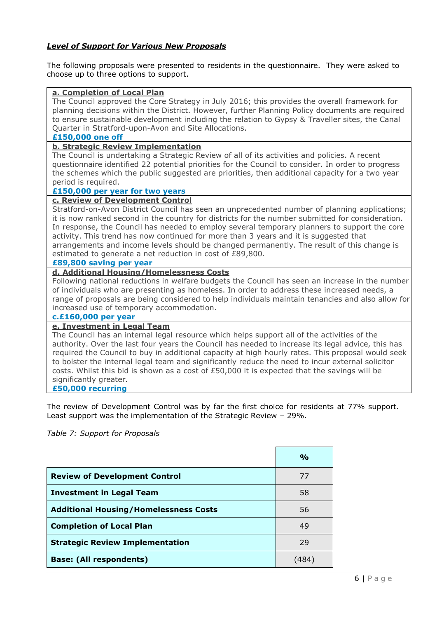# *Level of Support for Various New Proposals*

The following proposals were presented to residents in the questionnaire. They were asked to choose up to three options to support.

#### **a. Completion of Local Plan**

The Council approved the Core Strategy in July 2016; this provides the overall framework for planning decisions within the District. However, further Planning Policy documents are required to ensure sustainable development including the relation to Gypsy & Traveller sites, the Canal Quarter in Stratford-upon-Avon and Site Allocations.

#### **£150,000 one off**

#### **b. Strategic Review Implementation**

The Council is undertaking a Strategic Review of all of its activities and policies. A recent questionnaire identified 22 potential priorities for the Council to consider. In order to progress the schemes which the public suggested are priorities, then additional capacity for a two year period is required.

#### **£150,000 per year for two years**

#### **c. Review of Development Control**

Stratford-on-Avon District Council has seen an unprecedented number of planning applications; it is now ranked second in the country for districts for the number submitted for consideration. In response, the Council has needed to employ several temporary planners to support the core activity. This trend has now continued for more than 3 years and it is suggested that arrangements and income levels should be changed permanently. The result of this change is estimated to generate a net reduction in cost of £89,800.

#### **£89,800 saving per year**

### **d. Additional Housing/Homelessness Costs**

Following national reductions in welfare budgets the Council has seen an increase in the number of individuals who are presenting as homeless. In order to address these increased needs, a range of proposals are being considered to help individuals maintain tenancies and also allow for increased use of temporary accommodation.

#### **c.£160,000 per year**

## **e. Investment in Legal Team**

The Council has an internal legal resource which helps support all of the activities of the authority. Over the last four years the Council has needed to increase its legal advice, this has required the Council to buy in additional capacity at high hourly rates. This proposal would seek to bolster the internal legal team and significantly reduce the need to incur external solicitor costs. Whilst this bid is shown as a cost of £50,000 it is expected that the savings will be significantly greater*.* 

#### **£50,000 recurring**

The review of Development Control was by far the first choice for residents at 77% support. Least support was the implementation of the Strategic Review – 29%.

*Table 7: Support for Proposals*

|                                              | $\frac{O}{O}$ |
|----------------------------------------------|---------------|
| <b>Review of Development Control</b>         | 77            |
| <b>Investment in Legal Team</b>              | 58            |
| <b>Additional Housing/Homelessness Costs</b> | 56            |
| <b>Completion of Local Plan</b>              | 49            |
| <b>Strategic Review Implementation</b>       | 29            |
| <b>Base: (All respondents)</b>               | (484          |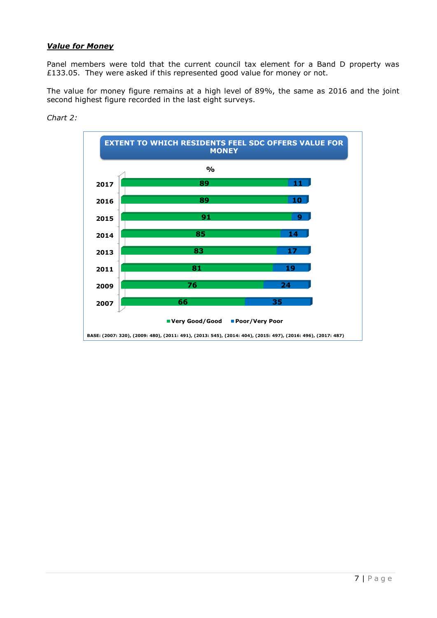# *Value for Money*

Panel members were told that the current council tax element for a Band D property was £133.05. They were asked if this represented good value for money or not.

The value for money figure remains at a high level of 89%, the same as 2016 and the joint second highest figure recorded in the last eight surveys.



#### *Chart 2:*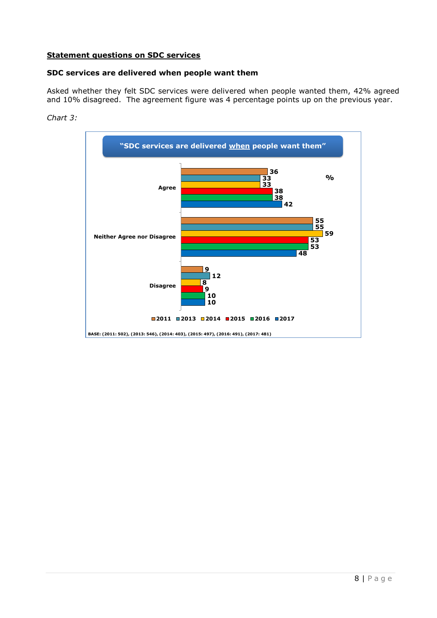# **Statement questions on SDC services**

#### **SDC services are delivered when people want them**

Asked whether they felt SDC services were delivered when people wanted them, 42% agreed and 10% disagreed. The agreement figure was 4 percentage points up on the previous year.



*Chart 3:*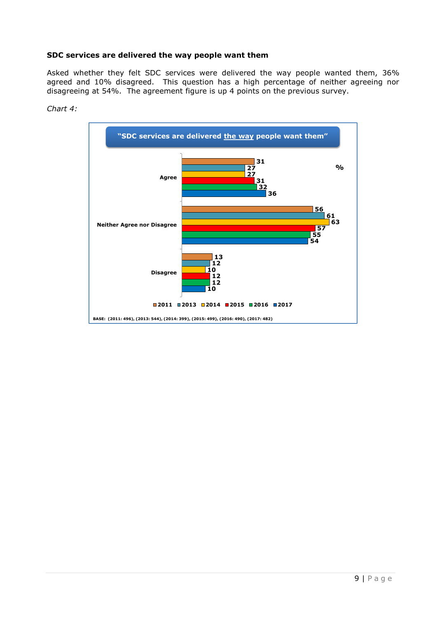# **SDC services are delivered the way people want them**

Asked whether they felt SDC services were delivered the way people wanted them, 36% agreed and 10% disagreed. This question has a high percentage of neither agreeing nor disagreeing at 54%. The agreement figure is up 4 points on the previous survey.



*Chart 4:*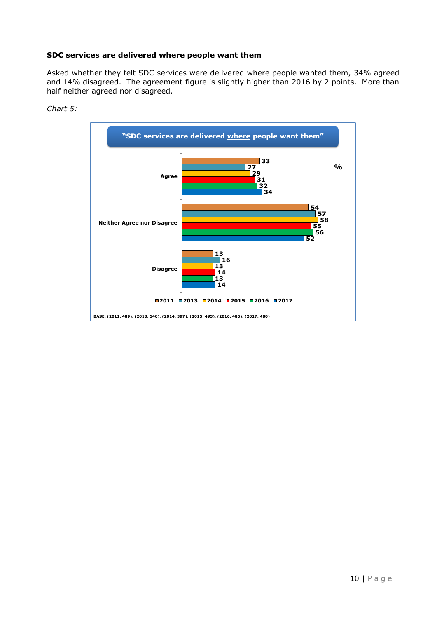## **SDC services are delivered where people want them**

Asked whether they felt SDC services were delivered where people wanted them, 34% agreed and 14% disagreed. The agreement figure is slightly higher than 2016 by 2 points. More than half neither agreed nor disagreed.



*Chart 5:*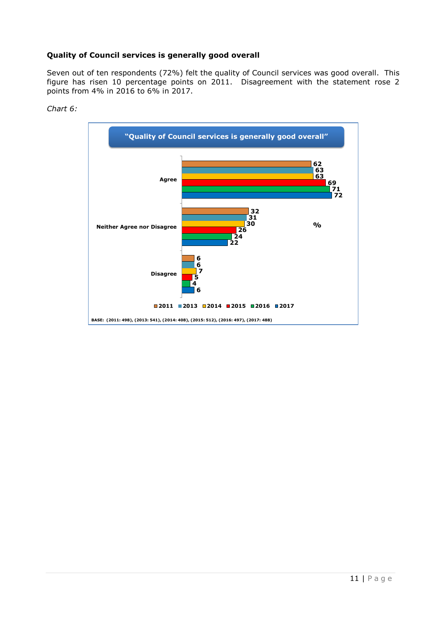# **Quality of Council services is generally good overall**

Seven out of ten respondents (72%) felt the quality of Council services was good overall. This figure has risen 10 percentage points on 2011. Disagreement with the statement rose 2 points from 4% in 2016 to 6% in 2017.



#### *Chart 6:*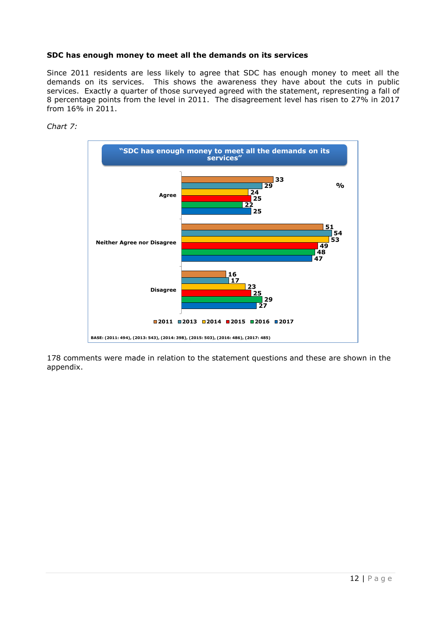## **SDC has enough money to meet all the demands on its services**

Since 2011 residents are less likely to agree that SDC has enough money to meet all the demands on its services. This shows the awareness they have about the cuts in public services. Exactly a quarter of those surveyed agreed with the statement, representing a fall of percentage points from the level in 2011. The disagreement level has risen to 27% in 2017 from 16% in 2011.

# *Chart 7:*



 comments were made in relation to the statement questions and these are shown in the appendix.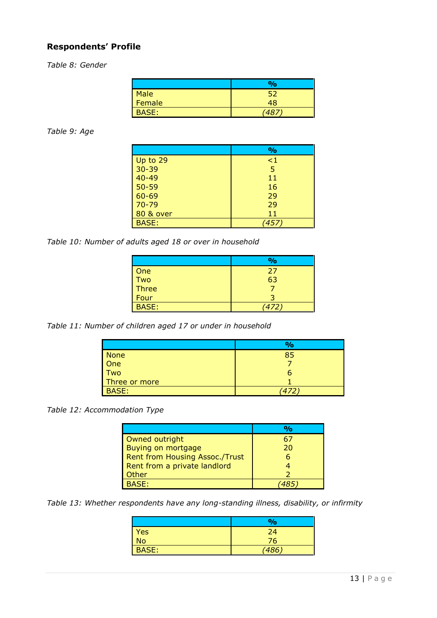# **Respondents' Profile**

*Table 8: Gender*

|        | $\frac{9}{6}$ |
|--------|---------------|
| Male   |               |
| Female | 48            |
| BASE:  | ם ז           |

### *Table 9: Age*

|                      | $\frac{6}{6}$ |
|----------------------|---------------|
| Up to 29             | $\leq$ 1      |
| $30 - 39$            | 5             |
| $40 - 49$            | 11            |
| $50 - 59$            | 16            |
| 60-69                | 29            |
| $70 - 79$            | 29            |
| <b>80 &amp; over</b> | 11            |
| <b>BASE:</b>         | 457.          |

*Table 10: Number of adults aged 18 or over in household*

|              | $\frac{1}{2}$ |
|--------------|---------------|
| One          | 27            |
| Two<br>Three | 63            |
|              |               |
| Four         |               |
| <b>BASE:</b> | (472)         |

*Table 11: Number of children aged 17 or under in household*

|               | $\frac{O}{O}$ |
|---------------|---------------|
| <b>None</b>   | 85            |
| One           |               |
| Two           | n             |
| Three or more |               |
| <b>BASE:</b>  |               |

*Table 12: Accommodation Type*

| Owned outright                 |    |
|--------------------------------|----|
| Buying on mortgage             | 20 |
| Rent from Housing Assoc./Trust |    |
| Rent from a private landlord   |    |
| Other                          |    |
| <b>BASF</b> *                  |    |

*Table 13: Whether respondents have any long-standing illness, disability, or infirmity*

|                 | %     |
|-----------------|-------|
| <b>Yes</b>      | 24    |
| $\overline{No}$ | 76    |
| <b>BASE:</b>    | (486) |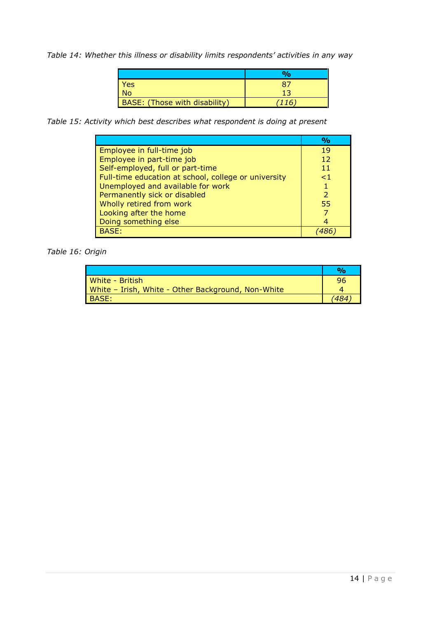*Table 14: Whether this illness or disability limits respondents' activities in any way*

| Yes                           |     |
|-------------------------------|-----|
| No.                           | 12  |
| BASE: (Those with disability) | 116 |

*Table 15: Activity which best describes what respondent is doing at present*

|                                                      | $\frac{O}{O}$ |
|------------------------------------------------------|---------------|
| Employee in full-time job                            | 19            |
| Employee in part-time job                            | 12            |
| Self-employed, full or part-time                     | 11            |
| Full-time education at school, college or university | $\leq$ 1      |
| Unemployed and available for work                    |               |
| Permanently sick or disabled                         |               |
| Wholly retired from work                             | 55            |
| Looking after the home                               |               |
| Doing something else                                 |               |
| BASE:                                                |               |

*Table 16: Origin*

| White - British                                    | 96 |
|----------------------------------------------------|----|
| White - Irish, White - Other Background, Non-White |    |
| BASE:                                              |    |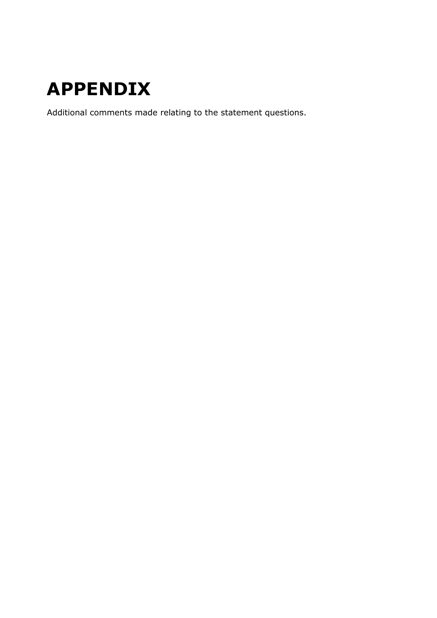# **APPENDIX**

Additional comments made relating to the statement questions.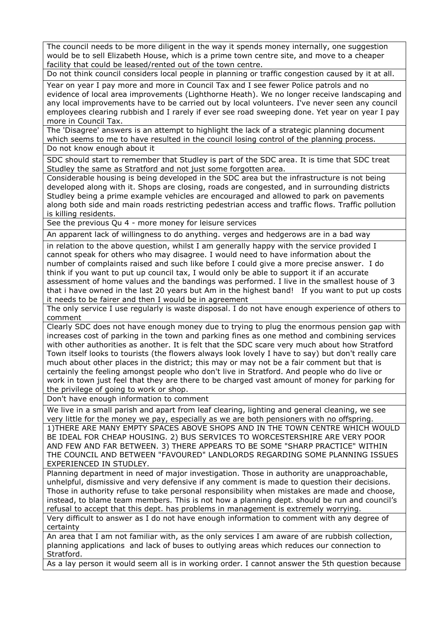The council needs to be more diligent in the way it spends money internally, one suggestion would be to sell Elizabeth House, which is a prime town centre site, and move to a cheaper facility that could be leased/rented out of the town centre.

Do not think council considers local people in planning or traffic congestion caused by it at all.

Year on year I pay more and more in Council Tax and I see fewer Police patrols and no evidence of local area improvements (Lighthorne Heath). We no longer receive landscaping and any local improvements have to be carried out by local volunteers. I've never seen any council employees clearing rubbish and I rarely if ever see road sweeping done. Yet year on year I pay more in Council Tax.

The 'Disagree' answers is an attempt to highlight the lack of a strategic planning document which seems to me to have resulted in the council losing control of the planning process. Do not know enough about it

SDC should start to remember that Studley is part of the SDC area. It is time that SDC treat Studley the same as Stratford and not just some forgotten area.

Considerable housing is being developed in the SDC area but the infrastructure is not being developed along with it. Shops are closing, roads are congested, and in surrounding districts Studley being a prime example vehicles are encouraged and allowed to park on pavements along both side and main roads restricting pedestrian access and traffic flows. Traffic pollution is killing residents.

See the previous Qu 4 - more money for leisure services

An apparent lack of willingness to do anything. verges and hedgerows are in a bad way

in relation to the above question, whilst I am generally happy with the service provided I cannot speak for others who may disagree. I would need to have information about the number of complaints raised and such like before I could give a more precise answer. I do think if you want to put up council tax, I would only be able to support it if an accurate assessment of home values and the bandings was performed. I live in the smallest house of 3 that i have owned in the last 20 years but Am in the highest band! If you want to put up costs it needs to be fairer and then I would be in agreement

The only service I use regularly is waste disposal. I do not have enough experience of others to comment

Clearly SDC does not have enough money due to trying to plug the enormous pension gap with increases cost of parking in the town and parking fines as one method and combining services with other authorities as another. It is felt that the SDC scare very much about how Stratford Town itself looks to tourists (the flowers always look lovely I have to say) but don't really care much about other places in the district; this may or may not be a fair comment but that is certainly the feeling amongst people who don't live in Stratford. And people who do live or work in town just feel that they are there to be charged vast amount of money for parking for the privilege of going to work or shop.

Don't have enough information to comment

We live in a small parish and apart from leaf clearing, lighting and general cleaning, we see very little for the money we pay, especially as we are both pensioners with no offspring. 1)THERE ARE MANY EMPTY SPACES ABOVE SHOPS AND IN THE TOWN CENTRE WHICH WOULD BE IDEAL FOR CHEAP HOUSING. 2) BUS SERVICES TO WORCESTERSHIRE ARE VERY POOR AND FEW AND FAR BETWEEN. 3) THERE APPEARS TO BE SOME "SHARP PRACTICE" WITHIN THE COUNCIL AND BETWEEN "FAVOURED" LANDLORDS REGARDING SOME PLANNING ISSUES EXPERIENCED IN STUDLEY.

Planning department in need of major investigation. Those in authority are unapproachable, unhelpful, dismissive and very defensive if any comment is made to question their decisions. Those in authority refuse to take personal responsibility when mistakes are made and choose, instead, to blame team members. This is not how a planning dept. should be run and council's refusal to accept that this dept. has problems in management is extremely worrying.

Very difficult to answer as I do not have enough information to comment with any degree of certainty

An area that I am not familiar with, as the only services I am aware of are rubbish collection, planning applications and lack of buses to outlying areas which reduces our connection to Stratford.

As a lay person it would seem all is in working order. I cannot answer the 5th question because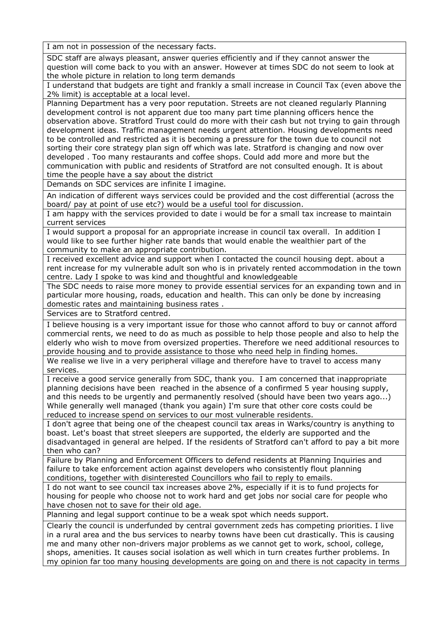I am not in possession of the necessary facts.

SDC staff are always pleasant, answer queries efficiently and if they cannot answer the question will come back to you with an answer. However at times SDC do not seem to look at the whole picture in relation to long term demands

I understand that budgets are tight and frankly a small increase in Council Tax (even above the 2% limit) is acceptable at a local level.

Planning Department has a very poor reputation. Streets are not cleaned regularly Planning development control is not apparent due too many part time planning officers hence the observation above. Stratford Trust could do more with their cash but not trying to gain through development ideas. Traffic management needs urgent attention. Housing developments need to be controlled and restricted as it is becoming a pressure for the town due to council not sorting their core strategy plan sign off which was late. Stratford is changing and now over developed . Too many restaurants and coffee shops. Could add more and more but the communication with public and residents of Stratford are not consulted enough. It is about

time the people have a say about the district Demands on SDC services are infinite I imagine.

An indication of different ways services could be provided and the cost differential (across the

board/ pay at point of use etc?) would be a useful tool for discussion.

I am happy with the services provided to date i would be for a small tax increase to maintain current services

I would support a proposal for an appropriate increase in council tax overall. In addition I would like to see further higher rate bands that would enable the wealthier part of the community to make an appropriate contribution.

I received excellent advice and support when I contacted the council housing dept. about a rent increase for my vulnerable adult son who is in privately rented accommodation in the town centre. Lady I spoke to was kind and thoughtful and knowledgeable

The SDC needs to raise more money to provide essential services for an expanding town and in particular more housing, roads, education and health. This can only be done by increasing domestic rates and maintaining business rates .

Services are to Stratford centred.

I believe housing is a very important issue for those who cannot afford to buy or cannot afford commercial rents, we need to do as much as possible to help those people and also to help the elderly who wish to move from oversized properties. Therefore we need additional resources to provide housing and to provide assistance to those who need help in finding homes.

We realise we live in a very peripheral village and therefore have to travel to access many services.

I receive a good service generally from SDC, thank you. I am concerned that inappropriate planning decisions have been reached in the absence of a confirmed 5 year housing supply, and this needs to be urgently and permanently resolved (should have been two years ago...) While generally well managed (thank you again) I'm sure that other core costs could be reduced to increase spend on services to our most vulnerable residents.

I don't agree that being one of the cheapest council tax areas in Warks/country is anything to boast. Let's boast that street sleepers are supported, the elderly are supported and the disadvantaged in general are helped. If the residents of Stratford can't afford to pay a bit more then who can?

Failure by Planning and Enforcement Officers to defend residents at Planning Inquiries and failure to take enforcement action against developers who consistently flout planning conditions, together with disinterested Councillors who fail to reply to emails.

I do not want to see council tax increases above 2%, especially if it is to fund projects for housing for people who choose not to work hard and get jobs nor social care for people who have chosen not to save for their old age.

Planning and legal support continue to be a weak spot which needs support.

Clearly the council is underfunded by central government zeds has competing priorities. I live in a rural area and the bus services to nearby towns have been cut drastically. This is causing me and many other non-drivers major problems as we cannot get to work, school, college, shops, amenities. It causes social isolation as well which in turn creates further problems. In my opinion far too many housing developments are going on and there is not capacity in terms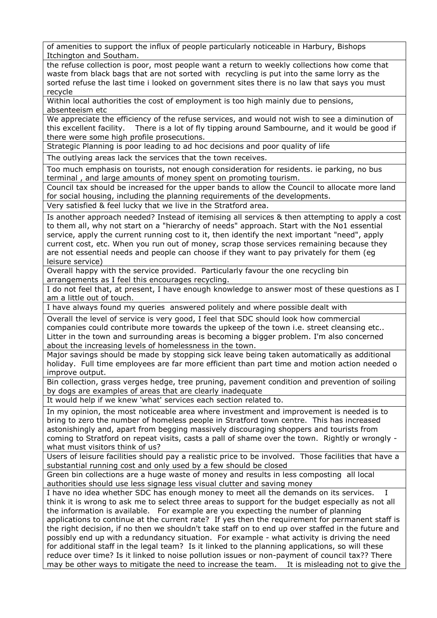of amenities to support the influx of people particularly noticeable in Harbury, Bishops Itchington and Southam.

the refuse collection is poor, most people want a return to weekly collections how come that waste from black bags that are not sorted with recycling is put into the same lorry as the sorted refuse the last time i looked on government sites there is no law that says you must recycle

Within local authorities the cost of employment is too high mainly due to pensions, absenteeism etc

We appreciate the efficiency of the refuse services, and would not wish to see a diminution of this excellent facility. There is a lot of fly tipping around Sambourne, and it would be good if there were some high profile prosecutions.

Strategic Planning is poor leading to ad hoc decisions and poor quality of life

The outlying areas lack the services that the town receives.

Too much emphasis on tourists, not enough consideration for residents. ie parking, no bus terminal , and large amounts of money spent on promoting tourism.

Council tax should be increased for the upper bands to allow the Council to allocate more land for social housing, including the planning requirements of the developments.

Very satisfied & feel lucky that we live in the Stratford area.

Is another approach needed? Instead of itemising all services & then attempting to apply a cost to them all, why not start on a "hierarchy of needs" approach. Start with the No1 essential service, apply the current running cost to it, then identify the next important "need", apply current cost, etc. When you run out of money, scrap those services remaining because they are not essential needs and people can choose if they want to pay privately for them (eg leisure service)

Overall happy with the service provided. Particularly favour the one recycling bin arrangements as I feel this encourages recycling.

I do not feel that, at present, I have enough knowledge to answer most of these questions as I am a little out of touch.

I have always found my queries answered politely and where possible dealt with

Overall the level of service is very good, I feel that SDC should look how commercial companies could contribute more towards the upkeep of the town i.e. street cleansing etc.. Litter in the town and surrounding areas is becoming a bigger problem. I'm also concerned about the increasing levels of homelessness in the town.

Major savings should be made by stopping sick leave being taken automatically as additional holiday. Full time employees are far more efficient than part time and motion action needed o improve output.

Bin collection, grass verges hedge, tree pruning, pavement condition and prevention of soiling by dogs are examples of areas that are clearly inadequate

It would help if we knew 'what' services each section related to.

In my opinion, the most noticeable area where investment and improvement is needed is to bring to zero the number of homeless people in Stratford town centre. This has increased astonishingly and, apart from begging massively discouraging shoppers and tourists from coming to Stratford on repeat visits, casts a pall of shame over the town. Rightly or wrongly what must visitors think of us?

Users of leisure facilities should pay a realistic price to be involved. Those facilities that have a substantial running cost and only used by a few should be closed

Green bin collections are a huge waste of money and results in less composting all local authorities should use less signage less visual clutter and saving money

I have no idea whether SDC has enough money to meet all the demands on its services. think it is wrong to ask me to select three areas to support for the budget especially as not all the information is available. For example are you expecting the number of planning applications to continue at the current rate? If yes then the requirement for permanent staff is the right decision, if no then we shouldn't take staff on to end up over staffed in the future and possibly end up with a redundancy situation. For example - what activity is driving the need for additional staff in the legal team? Is it linked to the planning applications, so will these reduce over time? Is it linked to noise pollution issues or non-payment of council tax?? There may be other ways to mitigate the need to increase the team. It is misleading not to give the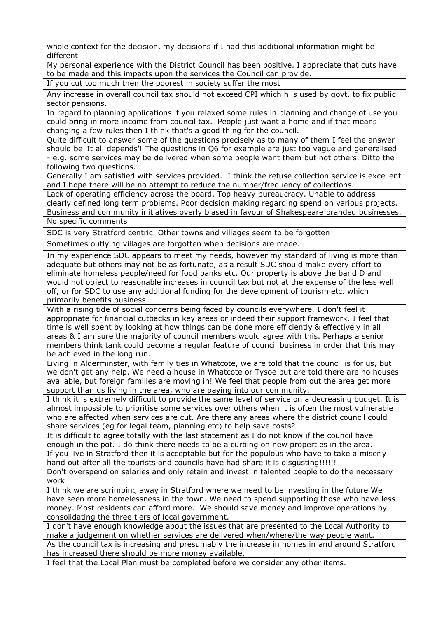whole context for the decision, my decisions if I had this additional information might be different

My personal experience with the District Council has been positive. I appreciate that cuts have to be made and this impacts upon the services the Council can provide.

If you cut too much then the poorest in society suffer the most

Any increase in overall council tax should not exceed CPI which h is used by govt. to fix public sector pensions.

In regard to planning applications if you relaxed some rules in planning and change of use you could bring in more income from council tax. People just want a home and if that means changing a few rules then I think that's a good thing for the council.

Quite difficult to answer some of the questions precisely as to many of them I feel the answer should be 'It all depends'! The questions in Q6 for example are just too vague and generalised - e.g. some services may be delivered when some people want them but not others. Ditto the following two questions.

Generally I am satisfied with services provided. I think the refuse collection service is excellent and I hope there will be no attempt to reduce the number/frequency of collections.

Lack of operating efficiency across the board. Top heavy bureaucracy. Unable to address clearly defined long term problems. Poor decision making regarding spend on various projects. Business and community initiatives overly biased in favour of Shakespeare branded businesses. No specific comments

SDC is very Stratford centric. Other towns and villages seem to be forgotten

Sometimes outlying villages are forgotten when decisions are made.

In my experience SDC appears to meet my needs, however my standard of living is more than adequate but others may not be as fortunate, as a result SDC should make every effort to eliminate homeless people/need for food banks etc. Our property is above the band D and would not object to reasonable increases in council tax but not at the expense of the less well off, or for SDC to use any additional funding for the development of tourism etc. which primarily benefits business

With a rising tide of social concerns being faced by councils everywhere, I don't feel it appropriate for financial cutbacks in key areas or indeed their support framework. I feel that time is well spent by looking at how things can be done more efficiently & effectively in all areas & I am sure the majority of council members would agree with this. Perhaps a senior members think tank could become a regular feature of council business in order that this may be achieved in the long run.

Living in Alderminster, with family ties in Whatcote, we are told that the council is for us, but we don't get any help. We need a house in Whatcote or Tysoe but are told there are no houses available, but foreign families are moving in! We feel that people from out the area get more support than us living in the area, who are paying into our community.

I think it is extremely difficult to provide the same level of service on a decreasing budget. It is almost impossible to prioritise some services over others when it is often the most vulnerable who are affected when services are cut. Are there any areas where the district council could share services (eg for legal team, planning etc) to help save costs?

It is difficult to agree totally with the last statement as I do not know if the council have enough in the pot. I do think there needs to be a curbing on new properties in the area.

If you live in Stratford then it is acceptable but for the populous who have to take a miserly hand out after all the tourists and councils have had share it is disgusting!!!!!!

Don't overspend on salaries and only retain and invest in talented people to do the necessary work

I think we are scrimping away in Stratford where we need to be investing in the future We have seen more homelessness in the town. We need to spend supporting those who have less money. Most residents can afford more. We should save money and improve operations by consolidating the three tiers of local government.

I don't have enough knowledge about the issues that are presented to the Local Authority to make a judgement on whether services are delivered when/where/the way people want. As the council tax is increasing and presumably the increase in homes in and around Stratford

has increased there should be more money available.

I feel that the Local Plan must be completed before we consider any other items.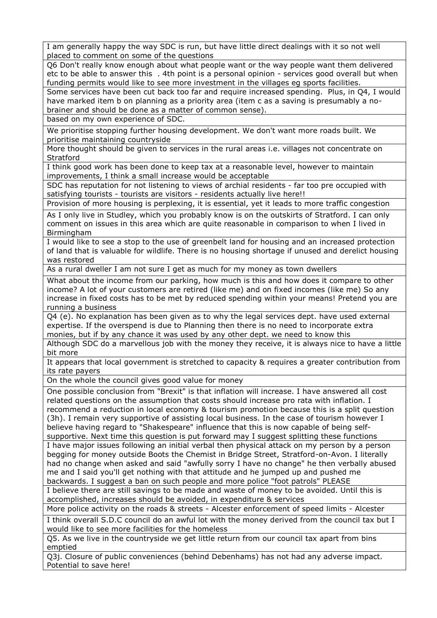I am generally happy the way SDC is run, but have little direct dealings with it so not well placed to comment on some of the questions

Q6 Don't really know enough about what people want or the way people want them delivered etc to be able to answer this . 4th point is a personal opinion - services good overall but when funding permits would like to see more investment in the villages eg sports facilities.

Some services have been cut back too far and require increased spending. Plus, in Q4, I would have marked item b on planning as a priority area (item c as a saving is presumably a nobrainer and should be done as a matter of common sense).

based on my own experience of SDC.

We prioritise stopping further housing development. We don't want more roads built. We prioritise maintaining countryside

More thought should be given to services in the rural areas i.e. villages not concentrate on **Stratford** 

I think good work has been done to keep tax at a reasonable level, however to maintain improvements, I think a small increase would be acceptable

SDC has reputation for not listening to views of archial residents - far too pre occupied with satisfying tourists - tourists are visitors - residents actually live here!!

Provision of more housing is perplexing, it is essential, yet it leads to more traffic congestion

As I only live in Studley, which you probably know is on the outskirts of Stratford. I can only comment on issues in this area which are quite reasonable in comparison to when I lived in **Birmingham** 

I would like to see a stop to the use of greenbelt land for housing and an increased protection of land that is valuable for wildlife. There is no housing shortage if unused and derelict housing was restored

As a rural dweller I am not sure I get as much for my money as town dwellers

What about the income from our parking, how much is this and how does it compare to other income? A lot of your customers are retired (like me) and on fixed incomes (like me) So any increase in fixed costs has to be met by reduced spending within your means! Pretend you are running a business

Q4 (e). No explanation has been given as to why the legal services dept. have used external expertise. If the overspend is due to Planning then there is no need to incorporate extra monies, but if by any chance it was used by any other dept. we need to know this

Although SDC do a marvellous job with the money they receive, it is always nice to have a little bit more

It appears that local government is stretched to capacity & requires a greater contribution from its rate payers

On the whole the council gives good value for money

One possible conclusion from "Brexit" is that inflation will increase. I have answered all cost related questions on the assumption that costs should increase pro rata with inflation. I recommend a reduction in local economy & tourism promotion because this is a split question (3h). I remain very supportive of assisting local business. In the case of tourism however I believe having regard to "Shakespeare" influence that this is now capable of being selfsupportive. Next time this question is put forward may I suggest splitting these functions

I have major issues following an initial verbal then physical attack on my person by a person begging for money outside Boots the Chemist in Bridge Street, Stratford-on-Avon. I literally had no change when asked and said "awfully sorry I have no change" he then verbally abused me and I said you'll get nothing with that attitude and he jumped up and pushed me backwards. I suggest a ban on such people and more police "foot patrols" PLEASE

I believe there are still savings to be made and waste of money to be avoided. Until this is accomplished, increases should be avoided, in expenditure & services

More police activity on the roads & streets - Alcester enforcement of speed limits - Alcester

I think overall S.D.C council do an awful lot with the money derived from the council tax but I would like to see more facilities for the homeless

Q5. As we live in the countryside we get little return from our council tax apart from bins emptied

Q3j. Closure of public conveniences (behind Debenhams) has not had any adverse impact. Potential to save here!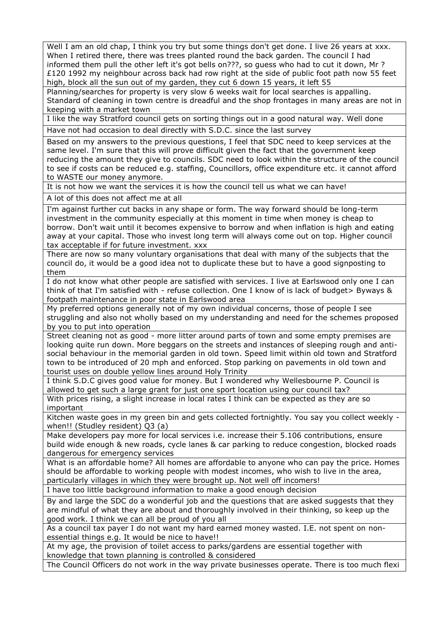Well I am an old chap, I think you try but some things don't get done. I live 26 years at xxx. When I retired there, there was trees planted round the back garden. The council I had informed them pull the other left it's got bells on???, so guess who had to cut it down, Mr ? £120 1992 my neighbour across back had row right at the side of public foot path now 55 feet high, block all the sun out of my garden, they cut 6 down 15 years, it left 55

Planning/searches for property is very slow 6 weeks wait for local searches is appalling. Standard of cleaning in town centre is dreadful and the shop frontages in many areas are not in keeping with a market town

I like the way Stratford council gets on sorting things out in a good natural way. Well done Have not had occasion to deal directly with S.D.C. since the last survey

Based on my answers to the previous questions, I feel that SDC need to keep services at the same level. I'm sure that this will prove difficult given the fact that the government keep reducing the amount they give to councils. SDC need to look within the structure of the council to see if costs can be reduced e.g. staffing, Councillors, office expenditure etc. it cannot afford to WASTE our money anymore.

It is not how we want the services it is how the council tell us what we can have!

A lot of this does not affect me at all

I'm against further cut backs in any shape or form. The way forward should be long-term investment in the community especially at this moment in time when money is cheap to borrow. Don't wait until it becomes expensive to borrow and when inflation is high and eating away at your capital. Those who invest long term will always come out on top. Higher council tax acceptable if for future investment. xxx

There are now so many voluntary organisations that deal with many of the subjects that the council do, it would be a good idea not to duplicate these but to have a good signposting to them

I do not know what other people are satisfied with services. I live at Earlswood only one I can think of that I'm satisfied with - refuse collection. One I know of is lack of budget> Byways & footpath maintenance in poor state in Earlswood area

My preferred options generally not of my own individual concerns, those of people I see struggling and also not wholly based on my understanding and need for the schemes proposed by you to put into operation

Street cleaning not as good - more litter around parts of town and some empty premises are looking quite run down. More beggars on the streets and instances of sleeping rough and antisocial behaviour in the memorial garden in old town. Speed limit within old town and Stratford town to be introduced of 20 mph and enforced. Stop parking on pavements in old town and tourist uses on double yellow lines around Holy Trinity

I think S.D.C gives good value for money. But I wondered why Wellesbourne P. Council is allowed to get such a large grant for just one sport location using our council tax?

With prices rising, a slight increase in local rates I think can be expected as they are so important

Kitchen waste goes in my green bin and gets collected fortnightly. You say you collect weekly when!! (Studley resident) Q3 (a)

Make developers pay more for local services i.e. increase their 5.106 contributions, ensure build wide enough & new roads, cycle lanes & car parking to reduce congestion, blocked roads dangerous for emergency services

What is an affordable home? All homes are affordable to anyone who can pay the price. Homes should be affordable to working people with modest incomes, who wish to live in the area, particularly villages in which they were brought up. Not well off incomers!

I have too little background information to make a good enough decision

By and large the SDC do a wonderful job and the questions that are asked suggests that they are mindful of what they are about and thoroughly involved in their thinking, so keep up the good work. I think we can all be proud of you all

As a council tax payer I do not want my hard earned money wasted. I.E. not spent on nonessential things e.g. It would be nice to have!!

At my age, the provision of toilet access to parks/gardens are essential together with knowledge that town planning is controlled & considered

The Council Officers do not work in the way private businesses operate. There is too much flexi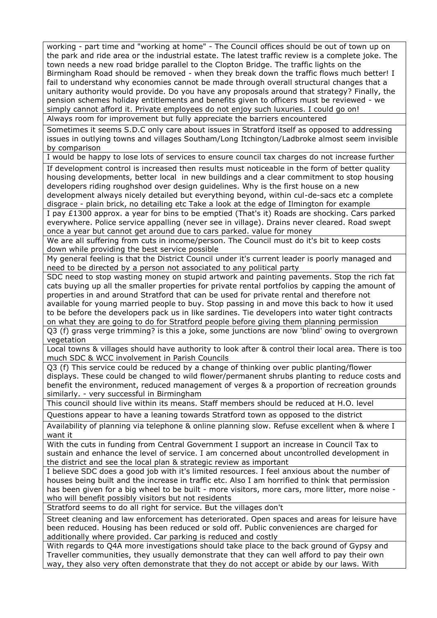working - part time and "working at home" - The Council offices should be out of town up on the park and ride area or the industrial estate. The latest traffic review is a complete joke. The town needs a new road bridge parallel to the Clopton Bridge. The traffic lights on the Birmingham Road should be removed - when they break down the traffic flows much better! I fail to understand why economies cannot be made through overall structural changes that a unitary authority would provide. Do you have any proposals around that strategy? Finally, the pension schemes holiday entitlements and benefits given to officers must be reviewed - we simply cannot afford it. Private employees do not enjoy such luxuries. I could go on!

Always room for improvement but fully appreciate the barriers encountered

Sometimes it seems S.D.C only care about issues in Stratford itself as opposed to addressing issues in outlying towns and villages Southam/Long Itchington/Ladbroke almost seem invisible by comparison

I would be happy to lose lots of services to ensure council tax charges do not increase further

If development control is increased then results must noticeable in the form of better quality housing developments, better local in new buildings and a clear commitment to stop housing developers riding roughshod over design guidelines. Why is the first house on a new development always nicely detailed but everything beyond, within cul-de-sacs etc a complete disgrace - plain brick, no detailing etc Take a look at the edge of Ilmington for example

I pay £1300 approx. a year for bins to be emptied (That's it) Roads are shocking. Cars parked everywhere. Police service appalling (never see in village). Drains never cleared. Road swept once a year but cannot get around due to cars parked. value for money

We are all suffering from cuts in income/person. The Council must do it's bit to keep costs down while providing the best service possible

My general feeling is that the District Council under it's current leader is poorly managed and need to be directed by a person not associated to any political party

SDC need to stop wasting money on stupid artwork and painting pavements. Stop the rich fat cats buying up all the smaller properties for private rental portfolios by capping the amount of properties in and around Stratford that can be used for private rental and therefore not available for young married people to buy. Stop passing in and move this back to how it used to be before the developers pack us in like sardines. Tie developers into water tight contracts on what they are going to do for Stratford people before giving them planning permission

Q3 (f) grass verge trimming? is this a joke, some junctions are now 'blind' owing to overgrown vegetation

Local towns & villages should have authority to look after & control their local area. There is too much SDC & WCC involvement in Parish Councils

Q3 (f) This service could be reduced by a change of thinking over public planting/flower displays. These could be changed to wild flower/permanent shrubs planting to reduce costs and benefit the environment, reduced management of verges & a proportion of recreation grounds similarly. - very successful in Birmingham

This council should live within its means. Staff members should be reduced at H.O. level

Questions appear to have a leaning towards Stratford town as opposed to the district

Availability of planning via telephone & online planning slow. Refuse excellent when & where I want it

With the cuts in funding from Central Government I support an increase in Council Tax to sustain and enhance the level of service. I am concerned about uncontrolled development in the district and see the local plan & strategic review as important

I believe SDC does a good job with it's limited resources. I feel anxious about the number of houses being built and the increase in traffic etc. Also I am horrified to think that permission has been given for a big wheel to be built - more visitors, more cars, more litter, more noise who will benefit possibly visitors but not residents

Stratford seems to do all right for service. But the villages don't

Street cleaning and law enforcement has deteriorated. Open spaces and areas for leisure have been reduced. Housing has been reduced or sold off. Public conveniences are charged for additionally where provided. Car parking is reduced and costly

With regards to Q4A more investigations should take place to the back ground of Gypsy and Traveller communities, they usually demonstrate that they can well afford to pay their own way, they also very often demonstrate that they do not accept or abide by our laws. With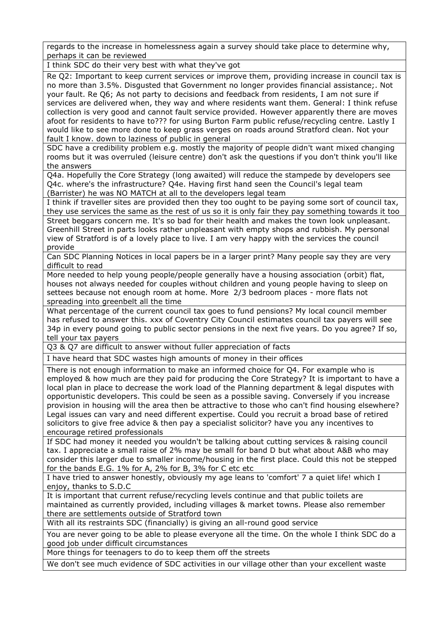regards to the increase in homelessness again a survey should take place to determine why, perhaps it can be reviewed

I think SDC do their very best with what they've got

Re Q2: Important to keep current services or improve them, providing increase in council tax is no more than 3.5%. Disgusted that Government no longer provides financial assistance;. Not your fault. Re Q6; As not party to decisions and feedback from residents, I am not sure if services are delivered when, they way and where residents want them. General: I think refuse collection is very good and cannot fault service provided. However apparently there are moves afoot for residents to have to??? for using Burton Farm public refuse/recycling centre. Lastly I would like to see more done to keep grass verges on roads around Stratford clean. Not your fault I know. down to laziness of public in general

SDC have a credibility problem e.g. mostly the majority of people didn't want mixed changing rooms but it was overruled (leisure centre) don't ask the questions if you don't think you'll like the answers

Q4a. Hopefully the Core Strategy (long awaited) will reduce the stampede by developers see Q4c. where's the infrastructure? Q4e. Having first hand seen the Council's legal team (Barrister) he was NO MATCH at all to the developers legal team

I think if traveller sites are provided then they too ought to be paying some sort of council tax, they use services the same as the rest of us so it is only fair they pay something towards it too Street beggars concern me. It's so bad for their health and makes the town look unpleasant. Greenhill Street in parts looks rather unpleasant with empty shops and rubbish. My personal view of Stratford is of a lovely place to live. I am very happy with the services the council provide

Can SDC Planning Notices in local papers be in a larger print? Many people say they are very difficult to read

More needed to help young people/people generally have a housing association (orbit) flat, houses not always needed for couples without children and young people having to sleep on settees because not enough room at home. More 2/3 bedroom places - more flats not spreading into greenbelt all the time

What percentage of the current council tax goes to fund pensions? My local council member has refused to answer this. xxx of Coventry City Council estimates council tax payers will see 34p in every pound going to public sector pensions in the next five years. Do you agree? If so, tell your tax payers

Q3 & Q7 are difficult to answer without fuller appreciation of facts

I have heard that SDC wastes high amounts of money in their offices

There is not enough information to make an informed choice for Q4. For example who is employed & how much are they paid for producing the Core Strategy? It is important to have a local plan in place to decrease the work load of the Planning department & legal disputes with opportunistic developers. This could be seen as a possible saving. Conversely if you increase provision in housing will the area then be attractive to those who can't find housing elsewhere? Legal issues can vary and need different expertise. Could you recruit a broad base of retired solicitors to give free advice & then pay a specialist solicitor? have you any incentives to encourage retired professionals

If SDC had money it needed you wouldn't be talking about cutting services & raising council tax. I appreciate a small raise of 2% may be small for band D but what about A&B who may consider this larger due to smaller income/housing in the first place. Could this not be stepped for the bands E.G. 1% for A, 2% for B, 3% for C etc etc

I have tried to answer honestly, obviously my age leans to 'comfort' 7 a quiet life! which I enjoy, thanks to S.D.C

It is important that current refuse/recycling levels continue and that public toilets are maintained as currently provided, including villages & market towns. Please also remember there are settlements outside of Stratford town

With all its restraints SDC (financially) is giving an all-round good service

You are never going to be able to please everyone all the time. On the whole I think SDC do a good job under difficult circumstances

More things for teenagers to do to keep them off the streets

We don't see much evidence of SDC activities in our village other than your excellent waste